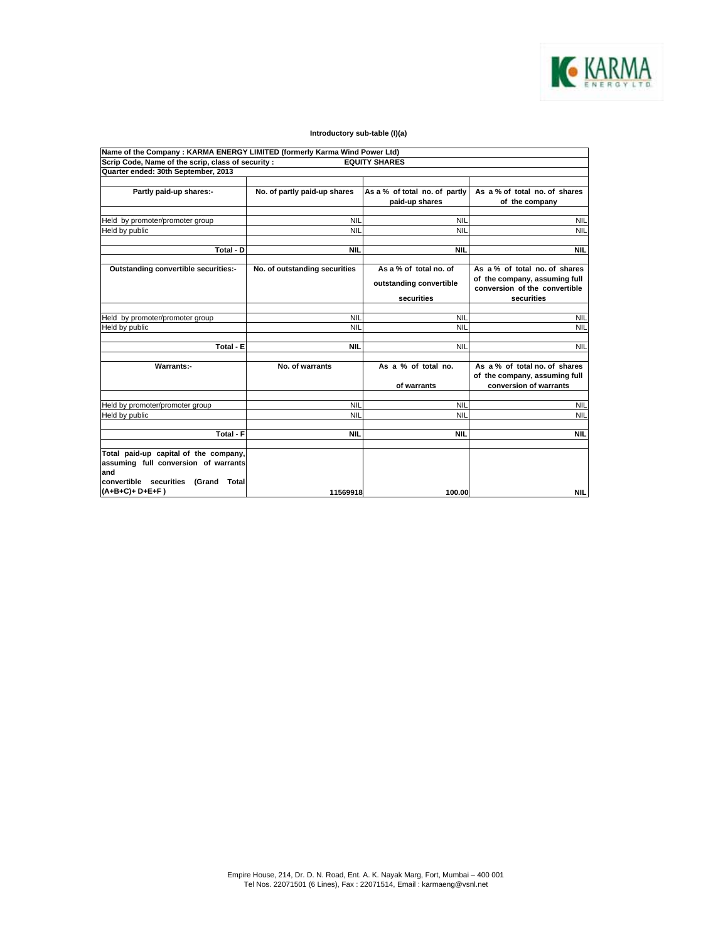

## **Introductory sub-table (I)(a)**

| Name of the Company: KARMA ENERGY LIMITED (formerly Karma Wind Power Ltd) |                               |                               |                               |
|---------------------------------------------------------------------------|-------------------------------|-------------------------------|-------------------------------|
| Scrip Code, Name of the scrip, class of security :                        |                               | <b>EQUITY SHARES</b>          |                               |
| Quarter ended: 30th September, 2013                                       |                               |                               |                               |
|                                                                           |                               |                               |                               |
| Partly paid-up shares:-                                                   | No. of partly paid-up shares  | As a % of total no. of partly | As a % of total no. of shares |
|                                                                           |                               | paid-up shares                | of the company                |
|                                                                           |                               |                               |                               |
| Held by promoter/promoter group                                           | <b>NIL</b>                    | <b>NIL</b>                    | <b>NIL</b>                    |
| Held by public                                                            | <b>NIL</b>                    | <b>NIL</b>                    | <b>NIL</b>                    |
|                                                                           |                               |                               |                               |
| Total - D                                                                 | <b>NIL</b>                    | <b>NIL</b>                    | <b>NIL</b>                    |
|                                                                           |                               |                               |                               |
| Outstanding convertible securities:-                                      | No. of outstanding securities | As a % of total no. of        | As a % of total no. of shares |
|                                                                           |                               | outstanding convertible       | of the company, assuming full |
|                                                                           |                               |                               | conversion of the convertible |
|                                                                           |                               | securities                    | securities                    |
|                                                                           |                               |                               |                               |
| Held by promoter/promoter group                                           | <b>NIL</b>                    | <b>NIL</b>                    | <b>NIL</b>                    |
| Held by public                                                            | <b>NIL</b>                    | <b>NIL</b>                    | <b>NIL</b>                    |
|                                                                           |                               |                               |                               |
| Total - E                                                                 | <b>NIL</b>                    | <b>NIL</b>                    | <b>NIL</b>                    |
|                                                                           |                               |                               |                               |
| Warrants:-                                                                | No. of warrants               | As a % of total no.           | As a % of total no. of shares |
|                                                                           |                               |                               | of the company, assuming full |
|                                                                           |                               | of warrants                   | conversion of warrants        |
|                                                                           |                               |                               |                               |
| Held by promoter/promoter group                                           | <b>NIL</b>                    | <b>NIL</b>                    | <b>NIL</b>                    |
| Held by public                                                            | <b>NIL</b>                    | <b>NIL</b>                    | <b>NIL</b>                    |
|                                                                           |                               |                               |                               |
| Total - F                                                                 | <b>NIL</b>                    | <b>NIL</b>                    | <b>NIL</b>                    |
|                                                                           |                               |                               |                               |
| Total paid-up capital of the company,                                     |                               |                               |                               |
| assuming full conversion of warrants                                      |                               |                               |                               |
| and                                                                       |                               |                               |                               |
| convertible securities<br>(Grand Total                                    |                               |                               |                               |
| (A+B+C)+ D+E+F)                                                           | 11569918                      | 100.00                        | <b>NIL</b>                    |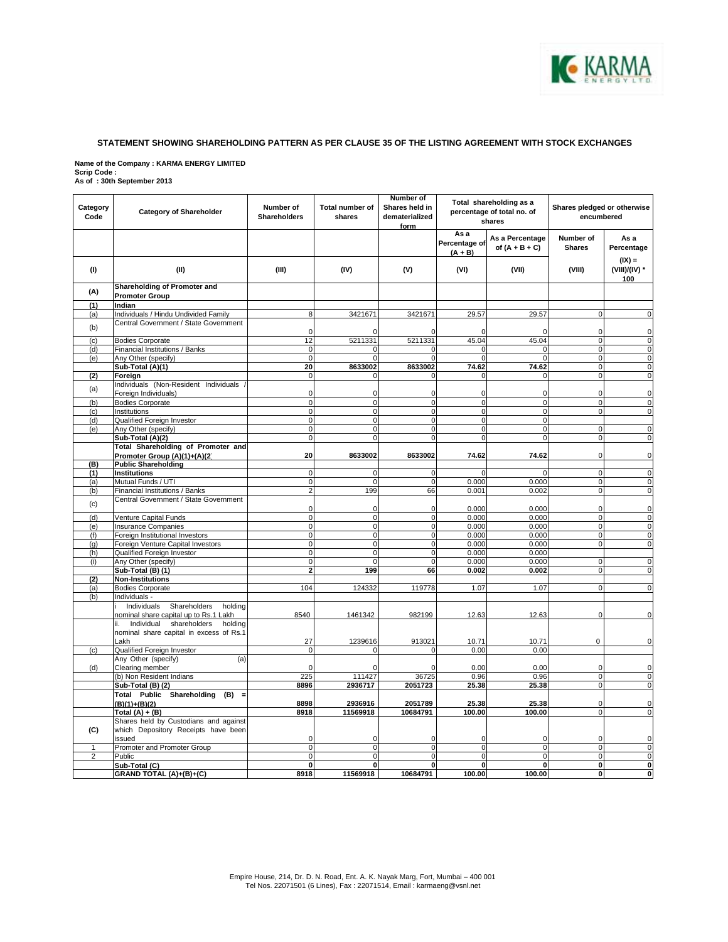

## **STATEMENT SHOWING SHAREHOLDING PATTERN AS PER CLAUSE 35 OF THE LISTING AGREEMENT WITH STOCK EXCHANGES**

**Name of the Company : KARMA ENERGY LIMITED Scrip Code : As of : 30th September 2013** 

| Category<br>Code | <b>Category of Shareholder</b>                             | Number of<br><b>Shareholders</b> | Total number of<br>shares      | Number of<br>Shares held in<br>dematerialized<br>form | Total shareholding as a<br>percentage of total no. of<br>shares |                                     | Shares pledged or otherwise<br>encumbered |                                  |
|------------------|------------------------------------------------------------|----------------------------------|--------------------------------|-------------------------------------------------------|-----------------------------------------------------------------|-------------------------------------|-------------------------------------------|----------------------------------|
|                  |                                                            |                                  |                                |                                                       | As a<br>Percentage of<br>$(A + B)$                              | As a Percentage<br>of $(A + B + C)$ | Number of<br><b>Shares</b>                | As a<br>Percentage               |
| (1)              | (II)                                                       | (III)                            | (IV)                           | (V)                                                   | (VI)                                                            | (VII)                               | (VIII)                                    | $(IX) =$<br>(VIII)/(IV) *<br>100 |
| (A)              | Shareholding of Promoter and<br><b>Promoter Group</b>      |                                  |                                |                                                       |                                                                 |                                     |                                           |                                  |
| (1)              | Indian                                                     |                                  |                                |                                                       |                                                                 |                                     |                                           |                                  |
| (a)              | Individuals / Hindu Undivided Family                       | 8                                | 3421671                        | 3421671                                               | 29.57                                                           | 29.57                               | $\Omega$                                  | $\mathbf 0$                      |
| (b)              | Central Government / State Government                      | 0                                | O                              | $\mathbf 0$                                           | O                                                               | O                                   | $\mathbf 0$                               | $\mathbf 0$                      |
| (c)              | <b>Bodies Corporate</b>                                    | 12                               | 5211331                        | 5211331                                               | 45.04                                                           | 45.04                               | $\mathbf{0}$                              | $\pmb{0}$                        |
| (d)              | Financial Institutions / Banks                             | $\mathbf 0$                      | $\Omega$<br>$\Omega$           | $\mathbf 0$<br>$\Omega$                               | $\Omega$                                                        | $\sqrt{ }$                          | $\overline{\mathbf{0}}$                   | $\overline{0}$                   |
| (e)              | Any Other (specify)<br>Sub-Total (A)(1)                    | $\mathbf 0$<br>20                | 8633002                        | 8633002                                               | $\Omega$<br>74.62                                               | $\Omega$<br>74.62                   | $\mathbf 0$<br>$\mathbf 0$                | $\pmb{0}$<br>$\mathbf 0$         |
| (2)              | Foreign                                                    | $\mathbf 0$                      | 0                              | $\mathbf{0}$                                          | $\Omega$                                                        | 0                                   | $\overline{\mathbf{0}}$                   | $\pmb{0}$                        |
| (a)              | Individuals (Non-Resident Individuals                      |                                  |                                |                                                       |                                                                 |                                     |                                           |                                  |
|                  | Foreign Individuals)                                       | $\mathbf 0$                      | $\Omega$                       | $\mathbf 0$                                           | $\Omega$                                                        | $\Omega$                            | $\Omega$                                  | $\pmb{0}$                        |
| (b)              | <b>Bodies Corporate</b>                                    | $\mathbf 0$                      | $\mathbf{0}$<br>$\overline{0}$ | $\mathbf{0}$<br>$\mathbf{0}$                          | $\mathbf{0}$                                                    | $\mathbf{0}$                        | $\mathbf 0$<br>$\mathbf 0$                | $\mathbf 0$                      |
| (c)<br>(d)       | Institutions<br>Qualified Foreign Investor                 | $\mathbf 0$<br>0                 | $\overline{0}$                 | $\overline{0}$                                        | $\mathbf 0$<br>$\mathbf 0$                                      | $\mathbf 0$<br>$\mathbf 0$          |                                           | $\pmb{0}$                        |
| (e)              | Any Other (specify)                                        | $\mathbf 0$                      | $\overline{0}$                 | $\overline{0}$                                        | $\Omega$                                                        | $\mathbf 0$                         | $\mathbf 0$                               | $\pmb{0}$                        |
|                  | Sub-Total (A)(2)                                           | $\mathbf 0$                      | $\Omega$                       | $\Omega$                                              | $\Omega$                                                        | $\Omega$                            | $\Omega$                                  | $\mathbf 0$                      |
|                  | Total Shareholding of Promoter and                         |                                  |                                |                                                       |                                                                 |                                     |                                           |                                  |
|                  | Promoter Group (A)(1)+(A)(2)                               | 20                               | 8633002                        | 8633002                                               | 74.62                                                           | 74.62                               | $\mathbf 0$                               | $\mathbf 0$                      |
| (B)              | <b>Public Shareholding</b>                                 |                                  |                                |                                                       |                                                                 |                                     |                                           |                                  |
| (1)              | <b>Institutions</b><br>Mutual Funds / UTI                  | $\mathbf 0$<br>0                 | $\mathbf{0}$<br>$\Omega$       | $\mathbf{0}$<br>$\mathbf{0}$                          | $\Omega$<br>0.000                                               | $\Omega$<br>0.000                   | $\mathbf 0$<br>$\mathbf 0$                | $\mathbf 0$<br>$\mathbf 0$       |
| (a)<br>(b)       | Financial Institutions / Banks                             | $\overline{2}$                   | 199                            | 66                                                    | 0.001                                                           | 0.002                               | $\mathbf 0$                               | $\mathbf 0$                      |
| (c)              | Central Government / State Government                      |                                  |                                |                                                       |                                                                 |                                     |                                           |                                  |
|                  |                                                            | $\mathbf 0$                      | 0                              | $\mathbf{0}$                                          | 0.000                                                           | 0.000                               | $\mathbf 0$                               | $\pmb{0}$                        |
| (d)              | Venture Capital Funds                                      | 0                                | $\overline{0}$                 | $\mathbf 0$                                           | 0.000                                                           | 0.000                               | $\mathbf 0$                               | $\pmb{0}$                        |
| (e)<br>(f)       | Insurance Companies<br>Foreign Institutional Investors     | 0<br>$\overline{0}$              | $\mathbf{0}$<br>$\overline{0}$ | $\mathbf{0}$<br>$\overline{0}$                        | 0.000<br>0.000                                                  | 0.000<br>0.000                      | $\mathbf 0$<br>$\mathbf 0$                | $\mathbf 0$<br>$\mathsf{o}$      |
| (q)              | Foreign Venture Capital Investors                          | 0                                | $\Omega$                       | $\Omega$                                              | 0.000                                                           | 0.000                               | $\Omega$                                  | $\pmb{0}$                        |
| (h)              | Qualified Foreign Investor                                 | $\mathbf 0$                      | $\mathbf{0}$                   | $\mathbf{0}$                                          | 0.000                                                           | 0.000                               |                                           |                                  |
| (i)              | Any Other (specify)                                        | 0                                | $\Omega$                       | $\mathbf{0}$                                          | 0.000                                                           | 0.000                               | $\mathbf 0$                               | $\mathbf 0$                      |
|                  | Sub-Total (B) (1)                                          | $\overline{a}$                   | 199                            | 66                                                    | 0.002                                                           | 0.002                               | $\mathbf 0$                               | $\mathbf 0$                      |
| (2)              | <b>Non-Institutions</b>                                    |                                  |                                |                                                       |                                                                 |                                     |                                           |                                  |
| (a)              | <b>Bodies Corporate</b>                                    | 104                              | 124332                         | 119778                                                | 1.07                                                            | 1.07                                | $\Omega$                                  | $\overline{0}$                   |
| (b)              | Individuals -<br>Shareholders<br>holding<br>Individuals    |                                  |                                |                                                       |                                                                 |                                     |                                           |                                  |
|                  | nominal share capital up to Rs.1 Lakh                      | 8540                             | 1461342                        | 982199                                                | 12.63                                                           | 12.63                               | 0                                         | $\mathbf 0$                      |
|                  | shareholders<br>holding<br>Individual                      |                                  |                                |                                                       |                                                                 |                                     |                                           |                                  |
|                  | nominal share capital in excess of Rs.1                    |                                  |                                |                                                       |                                                                 |                                     |                                           |                                  |
|                  | Lakh                                                       | 27                               | 1239616                        | 913021                                                | 10.71                                                           | 10.71                               | 0                                         | $\mathbf 0$                      |
| (c)              | Qualified Foreign Investor                                 | $\mathbf 0$                      | $\Omega$                       | $\mathbf 0$                                           | 0.00                                                            | 0.00                                |                                           |                                  |
| (d)              | (a)<br>Any Other (specify)<br>Clearing member              | $\Omega$                         |                                | $\Omega$                                              | 0.00                                                            | 0.00                                | $\Omega$                                  | $\mathbf 0$                      |
|                  | (b) Non Resident Indians                                   | 225                              | 111427                         | 36725                                                 | 0.96                                                            | 0.96                                | $\mathbf 0$                               | $\mathbf 0$                      |
|                  | Sub-Total (B) (2)                                          | 8896                             | 2936717                        | 2051723                                               | 25.38                                                           | 25.38                               | $\mathbf 0$                               | $\pmb{0}$                        |
|                  | Total Public Shareholding (B) =                            |                                  |                                |                                                       |                                                                 |                                     |                                           |                                  |
|                  | $(B)(1)+(B)(2)$                                            | 8898                             | 2936916                        | 2051789                                               | 25.38                                                           | 25.38                               | $\Omega$                                  | $\pmb{0}$                        |
|                  | Total $(A) + (B)$<br>Shares held by Custodians and against | 8918                             | 11569918                       | 10684791                                              | 100.00                                                          | 100.00                              | $\Omega$                                  | $\mathbf 0$                      |
| (C)              | which Depository Receipts have been                        |                                  |                                |                                                       |                                                                 |                                     |                                           |                                  |
|                  | issued                                                     | 0                                | $\mathbf 0$                    | $\overline{0}$                                        | 0                                                               | $\mathbf 0$                         | $\mathbf 0$                               | $\pmb{0}$                        |
| 1                | Promoter and Promoter Group                                | 0                                | $\mathbf{0}$                   | $\mathbf{0}$                                          | $\mathbf{0}$                                                    | $\Omega$                            | $\mathbf 0$                               | $\mathbf 0$                      |
| $\overline{2}$   | Public                                                     | $\mathbf 0$                      | $\overline{0}$                 | $\overline{0}$                                        | $\Omega$                                                        | $\Omega$                            | $\Omega$                                  | $\mathbf 0$                      |
|                  | Sub-Total (C)                                              | 0                                | 0                              | 0                                                     | 0                                                               | 0                                   | $\mathbf{0}$                              | $\bf{0}$                         |
|                  | GRAND TOTAL (A)+(B)+(C)                                    | 8918                             | 11569918                       | 10684791                                              | 100.00                                                          | 100.00                              | $\pmb{0}$                                 | $\mathbf{0}$                     |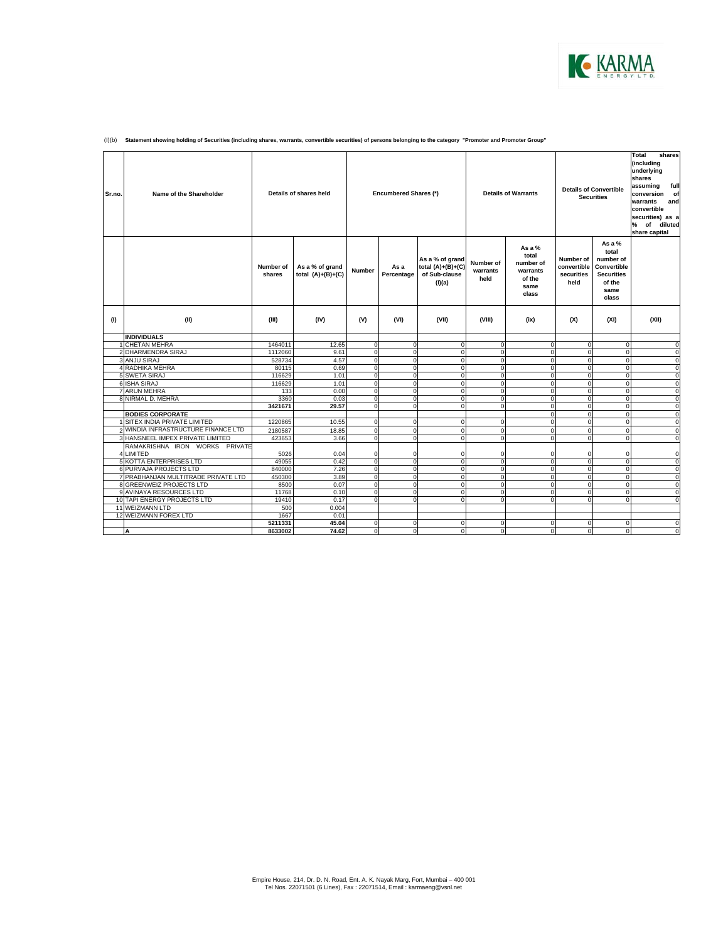

| Sr.no. | Name of the Shareholder                             |                     | Details of shares held                 |                              | Encumbered Shares (*)      |                                                                   | <b>Details of Warrants</b>    |                                                                       | <b>Details of Convertible</b><br><b>Securities</b> |                                                                                               | Total<br>shares<br>(including<br>underlying<br>shares<br>assuming<br>full<br>of<br>conversion<br>warrants<br>and<br>convertible<br>securities) as a<br>% of diluted<br>share capital |
|--------|-----------------------------------------------------|---------------------|----------------------------------------|------------------------------|----------------------------|-------------------------------------------------------------------|-------------------------------|-----------------------------------------------------------------------|----------------------------------------------------|-----------------------------------------------------------------------------------------------|--------------------------------------------------------------------------------------------------------------------------------------------------------------------------------------|
|        |                                                     | Number of<br>shares | As a % of grand<br>total $(A)+(B)+(C)$ | Number                       | As a<br>Percentage         | As a % of grand<br>total $(A)+(B)+(C)$<br>of Sub-clause<br>(I)(a) | Number of<br>warrants<br>held | As a $%$<br>total<br>number of<br>warrants<br>of the<br>same<br>class | Number of<br>convertible<br>securities<br>held     | As a $%$<br>total<br>number of<br>Convertible<br><b>Securities</b><br>of the<br>same<br>class |                                                                                                                                                                                      |
| (1)    | (II)                                                | (III)               | (IV)                                   | (V)                          | (VI)                       | (VII)                                                             | (VIII)                        | (ix)                                                                  | (X)                                                | (XI)                                                                                          | (XII)                                                                                                                                                                                |
|        | <b>INDIVIDUALS</b>                                  |                     |                                        |                              |                            |                                                                   |                               |                                                                       |                                                    |                                                                                               |                                                                                                                                                                                      |
|        | <b>CHETAN MEHRA</b>                                 | 1464011             | 12.65                                  | $\mathbf 0$                  | $\mathbf 0$                | $\mathbf 0$                                                       | $\Omega$                      | $\Omega$                                                              | $\mathbf 0$                                        | $\mathbf 0$                                                                                   | $\mathbf 0$                                                                                                                                                                          |
|        | 2 DHARMENDRA SIRAJ                                  | 1112060             | 9.61                                   | $\mathbf{0}$                 | $\mathbf 0$                | $^{\circ}$                                                        | $\Omega$                      | $\mathbf{0}$                                                          | $\mathbf 0$                                        | $\mathbf 0$                                                                                   | $\mathbf 0$                                                                                                                                                                          |
|        | 3 ANJU SIRAJ                                        | 528734              | 4.57                                   | $\Omega$                     | $\mathbf 0$                | $\mathbf 0$                                                       | $\Omega$                      | $\mathbf 0$                                                           | $\mathbf 0$                                        | $\mathbf 0$                                                                                   | 0                                                                                                                                                                                    |
|        | 4 RADHIKA MEHRA                                     | 80115               | 0.69                                   | $\mathbf{0}$                 | $\mathsf 0$                | $\mathbf 0$                                                       | $\Omega$                      | $\mathbf{0}$                                                          | $\mathbf 0$                                        | o                                                                                             | $\mathbf 0$                                                                                                                                                                          |
|        | 5 SWETA SIRAJ                                       | 116629              | 1.01                                   | $\Omega$                     | $\mathbf 0$                | $\Omega$                                                          | $\Omega$                      | $\Omega$                                                              | $\Omega$                                           | ō                                                                                             | $\mathbf 0$                                                                                                                                                                          |
|        | 6 ISHA SIRAJ                                        | 116629              | 1.01                                   | $\mathbf{0}$                 | $\mathbf 0$                | $\mathbf 0$                                                       | $\Omega$                      | $\Omega$                                                              | $\mathbf 0$                                        | $\mathbf 0$                                                                                   | 0                                                                                                                                                                                    |
|        | <b>7 ARUN MEHRA</b>                                 | 133                 | 0.00                                   | $\Omega$                     | $\mathbf 0$                | $\Omega$                                                          | $\Omega$                      | $\Omega$                                                              | $\Omega$                                           | $\mathbf 0$                                                                                   | $\mathbf 0$                                                                                                                                                                          |
|        | 8 NIRMAL D. MEHRA                                   | 3360                | 0.03                                   | $\mathbf{0}$                 | $\mathbf 0$                | $^{\circ}$                                                        | $\mathbf 0$                   | $\mathbf{0}$                                                          | $\mathbf 0$                                        | o                                                                                             | $\mathbf 0$                                                                                                                                                                          |
|        |                                                     | 3421671             | 29.57                                  | $\Omega$                     | $\overline{0}$             | $\Omega$                                                          | $\Omega$                      | $\overline{0}$                                                        | $\mathbf 0$                                        | ō                                                                                             | $\mathbf 0$                                                                                                                                                                          |
|        | <b>BODIES CORPORATE</b>                             |                     |                                        |                              |                            |                                                                   |                               | $\mathbf{0}$                                                          | $\mathbf 0$                                        | $\mathbf 0$                                                                                   | $\mathbf 0$                                                                                                                                                                          |
|        | 1 SITEX INDIA PRIVATE LIMITED                       | 1220865             | 10.55                                  | $\mathbf 0$                  | $\mathbf 0$                | $\mathbf 0$                                                       | $\Omega$                      | $\mathbf{0}$                                                          | $\mathbf 0$                                        | ō                                                                                             | $\mathbf 0$                                                                                                                                                                          |
|        | WINDIA INFRASTRUCTURE FINANCE LTD                   | 2180587             | 18.85                                  | $\mathbf{0}$                 | $\mathbf 0$                | $\mathbf 0$                                                       | $\mathbf 0$                   | $\mathbf{0}$                                                          | $\mathbf 0$                                        | $\mathbf 0$                                                                                   | $\mathbf 0$                                                                                                                                                                          |
|        | 3 HANSNEEL IMPEX PRIVATE LIMITED                    | 423653              | 3.66                                   | $\overline{0}$               | $\mathbf 0$                | $\mathbf 0$                                                       | $\mathbf 0$                   | $\mathbf{0}$                                                          | $\mathbf 0$                                        | $\mathbf 0$                                                                                   | $\mathbf 0$                                                                                                                                                                          |
|        | RAMAKRISHNA IRON WORKS PRIVATE                      |                     |                                        |                              |                            |                                                                   |                               |                                                                       |                                                    |                                                                                               |                                                                                                                                                                                      |
|        | 4 LIMITED                                           | 5026                | 0.04                                   | $\mathbf 0$                  | 0                          | $\Omega$                                                          | $\Omega$                      | $\Omega$                                                              | $\Omega$                                           | 0                                                                                             | $\mathbf 0$                                                                                                                                                                          |
|        | <b>5 KOTTA ENTERPRISES LTD</b>                      | 49055               | 0.42                                   | $\mathbf 0$                  | $\mathbf 0$                | $\mathbf 0$                                                       | $\Omega$                      | $\mathbf{0}$                                                          | $\mathbf 0$                                        | $\mathbf 0$                                                                                   | $\mathbf 0$                                                                                                                                                                          |
|        | 6 PURVAJA PROJECTS LTD                              | 840000              | 7.26                                   | $\mathbf{0}$                 | $\mathbf 0$                | $\mathbf 0$                                                       | $\Omega$                      | $\overline{0}$                                                        | $\mathbf 0$                                        | $\mathbf 0$                                                                                   | $\mathbf 0$                                                                                                                                                                          |
|        | 7 PRABHANJAN MULTITRADE PRIVATE LTD                 | 450300              | 3.89                                   | $\Omega$<br>$\Omega$         | $\Omega$                   | $\Omega$                                                          | $\Omega$                      | $\Omega$                                                              | $\Omega$                                           | $\mathbf 0$                                                                                   | $\mathbf 0$                                                                                                                                                                          |
|        | 8 GREENWEIZ PROJECTS LTD<br>9 AVINAYA RESOURCES LTD | 8500<br>11768       | 0.07                                   |                              | $\Omega$                   | $\Omega$                                                          | $\Omega$                      | $\Omega$                                                              | $\Omega$                                           | $\mathbf 0$<br>ō                                                                              | $\Omega$                                                                                                                                                                             |
|        | 10 TAPI ENERGY PROJECTS LTD                         | 19410               | 0.10<br>0.17                           | $\mathbf{0}$<br>$\mathbf{0}$ | $\mathbf 0$<br>$\mathbf 0$ | $\mathbf 0$<br>$\Omega$                                           | $\mathbf 0$<br>$\Omega$       | $\mathbf{0}$<br>$\Omega$                                              | $\mathbf 0$<br>$\Omega$                            | $\mathbf 0$                                                                                   | $\mathbf 0$<br>$\mathbf 0$                                                                                                                                                           |
|        |                                                     |                     | 0.004                                  |                              |                            |                                                                   |                               |                                                                       |                                                    |                                                                                               |                                                                                                                                                                                      |
|        | 11 WEIZMANN LTD<br>12 WEIZMANN FOREX LTD            | 500<br>1667         | 0.01                                   |                              |                            |                                                                   |                               |                                                                       |                                                    |                                                                                               |                                                                                                                                                                                      |
|        |                                                     | 5211331             | 45.04                                  | $\mathbf{0}$                 | 0                          | $\mathbf 0$                                                       | $\Omega$                      | $\mathbf{0}$                                                          | $\mathbf 0$                                        | $\mathbf 0$                                                                                   | 0                                                                                                                                                                                    |
|        | A                                                   | 8633002             | 74.62                                  | $\overline{0}$               | $\Omega$                   | $\Omega$                                                          | $\mathbf{0}$                  | $\Omega$                                                              | $\Omega$                                           | $\mathbf{0}$                                                                                  | $\Omega$                                                                                                                                                                             |
|        |                                                     |                     |                                        |                              |                            |                                                                   |                               |                                                                       |                                                    |                                                                                               |                                                                                                                                                                                      |

(I)(b) **Statement showing holding of Securities (including shares, warrants, convertible securities) of persons belonging to the category "Promoter and Promoter Group"**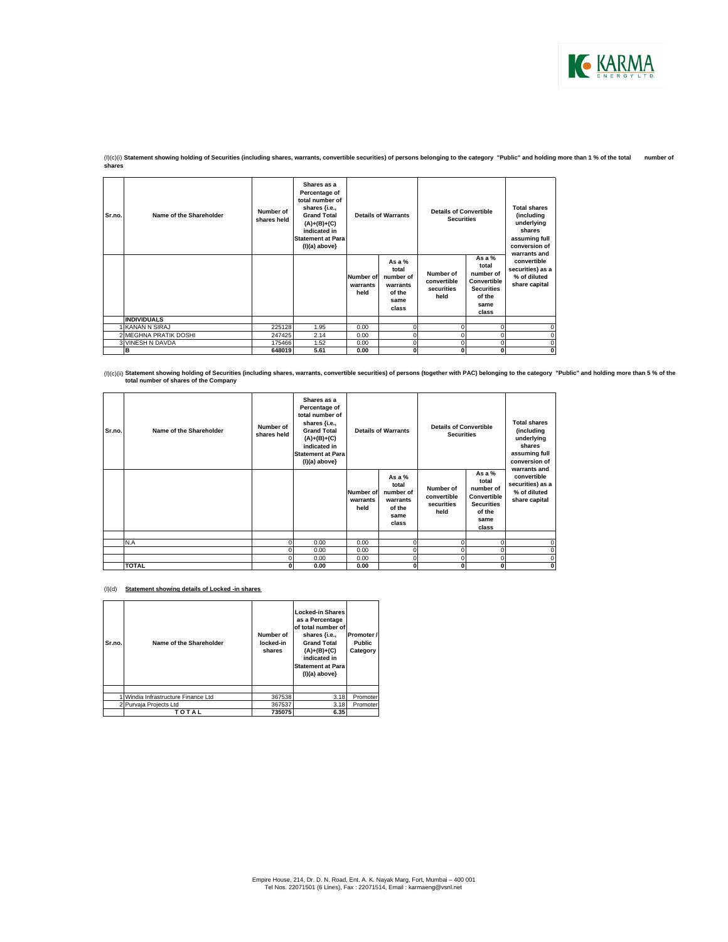

(I)(c)(i) **Statement showing holding of Securities (including shares, warrants, convertible securities) of persons belonging to the category "Public" and holding more than 1 % of the total number of shares**

| Sr.no. | Name of the Shareholder | Number of<br>shares held | Shares as a<br>Percentage of<br>total number of<br>shares {i.e.,<br><b>Grand Total</b><br>$(A)+(B)+(C)$<br>indicated in<br><b>Statement at Para</b><br>$(I)(a)$ above} | <b>Details of Warrants</b>           |                                                                       | <b>Details of Convertible</b><br><b>Securities</b> |                                                                                               | <b>Total shares</b><br>(including<br>underlying<br>shares<br>assuming full<br>conversion of<br>warrants and |  |
|--------|-------------------------|--------------------------|------------------------------------------------------------------------------------------------------------------------------------------------------------------------|--------------------------------------|-----------------------------------------------------------------------|----------------------------------------------------|-----------------------------------------------------------------------------------------------|-------------------------------------------------------------------------------------------------------------|--|
|        |                         |                          |                                                                                                                                                                        | <b>Number of</b><br>warrants<br>held | As a $%$<br>total<br>number of<br>warrants<br>of the<br>same<br>class | Number of<br>convertible<br>securities<br>held     | As a $%$<br>total<br>number of<br>Convertible<br><b>Securities</b><br>of the<br>same<br>class | convertible<br>securities) as a<br>% of diluted<br>share capital                                            |  |
|        | <b>INDIVIDUALS</b>      |                          |                                                                                                                                                                        |                                      |                                                                       |                                                    |                                                                                               |                                                                                                             |  |
|        | KANAN N SIRAJ           | 225128                   | 1.95                                                                                                                                                                   | 0.00                                 | n                                                                     |                                                    |                                                                                               |                                                                                                             |  |
|        | 2 MEGHNA PRATIK DOSHI   | 247425                   | 2.14                                                                                                                                                                   | 0.00                                 |                                                                       |                                                    |                                                                                               |                                                                                                             |  |
|        | 3 VINESH N DAVDA        | 175466                   | 1.52                                                                                                                                                                   | 0.00                                 |                                                                       |                                                    |                                                                                               |                                                                                                             |  |
|        | в                       | 648019                   | 5.61                                                                                                                                                                   | 0.00                                 | 0                                                                     |                                                    | 0                                                                                             | 0                                                                                                           |  |

<sup>(</sup>l)(c)(ii) Statement showing holding of Securities (including shares, warrants, convertible securities) of persons (together with PAC) belonging to the category "Public" and holding more than 5 % of the كompany to the chan

| Sr.no. | Name of the Shareholder | Number of<br>shares held | Shares as a<br>Percentage of<br>total number of<br>shares {i.e.,<br><b>Grand Total</b><br>$(A)+(B)+(C)$<br>indicated in<br><b>Statement at Para</b><br>$(I)(a)$ above} | <b>Details of Warrants</b>           |                                                                       | <b>Details of Convertible</b><br><b>Securities</b> |                                                                                               | <b>Total shares</b><br>(including<br>underlying<br>shares<br>assuming full<br>conversion of<br>warrants and |
|--------|-------------------------|--------------------------|------------------------------------------------------------------------------------------------------------------------------------------------------------------------|--------------------------------------|-----------------------------------------------------------------------|----------------------------------------------------|-----------------------------------------------------------------------------------------------|-------------------------------------------------------------------------------------------------------------|
|        |                         |                          |                                                                                                                                                                        | <b>Number of</b><br>warrants<br>held | As a $%$<br>total<br>number of<br>warrants<br>of the<br>same<br>class | Number of<br>convertible<br>securities<br>held     | As a $%$<br>total<br>number of<br>Convertible<br><b>Securities</b><br>of the<br>same<br>class | convertible<br>securities) as a<br>% of diluted<br>share capital                                            |
|        |                         |                          |                                                                                                                                                                        |                                      |                                                                       |                                                    |                                                                                               |                                                                                                             |
|        | N.A                     |                          | 0.00                                                                                                                                                                   | 0.00                                 | $\Omega$                                                              | $\Omega$                                           | $\Omega$                                                                                      | 0                                                                                                           |
|        |                         |                          | 0.00<br>0.00                                                                                                                                                           | 0.00<br>0.00                         |                                                                       |                                                    | $\Omega$<br>$\Omega$                                                                          | $\Omega$<br>$\Omega$                                                                                        |
|        | <b>TOTAL</b>            | ŋ                        | 0.00                                                                                                                                                                   | 0.00                                 | $\Omega$                                                              | 0                                                  | $\bf{0}$                                                                                      | 0                                                                                                           |

(I)(d) **Statement showing details of Locked -in shares**

| Sr.no. | Name of the Shareholder           | Number of<br>locked-in<br>shares | <b>Locked-in Shares</b><br>as a Percentage<br>of total number of<br>shares {i.e.,<br><b>Grand Total</b><br>$(A)+(B)+(C)$<br>indicated in<br><b>Statement at Para</b><br>$(I)(a)$ above} | Promoter /<br><b>Public</b><br>Category |
|--------|-----------------------------------|----------------------------------|-----------------------------------------------------------------------------------------------------------------------------------------------------------------------------------------|-----------------------------------------|
|        | Windia Infrastructure Finance Ltd | 367538                           | 3.18                                                                                                                                                                                    | Promoter                                |
|        |                                   |                                  |                                                                                                                                                                                         |                                         |
|        | 2 Purvaja Projects Ltd            | 367537                           | 3.18                                                                                                                                                                                    | Promoter                                |
|        | TOTAL                             | 735075                           | 6.35                                                                                                                                                                                    |                                         |